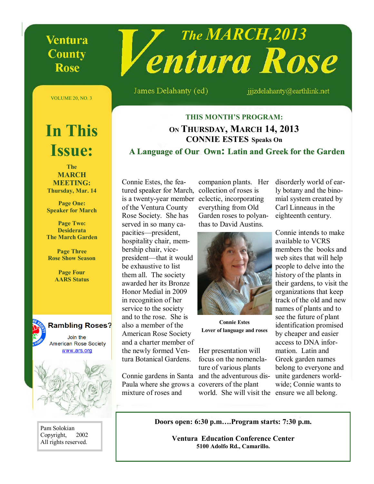## **Ventura County** Rose

# *The MARCH,2013*

James Delahanty (ed)

jjjzdelahanty@earthlink.net

VOLUME 20, NO. 3

# **In This Issue:**

**The MARCH MEETING: Thursday, Mar. 14**

**Page One: Speaker for March**

**Page Two: Desiderata The March Garden**

**Page Three Rose Show Season**

> **Page Four AARS Status**



Pam Solokian Copyright, 2002 All rights reserved.

## **THIS MONTH'S PROGRAM: ON THURSDAY, MARCH 14, 2013 CONNIE ESTES Speaks On A Language of Our Own: Latin and Greek for the Latin for the Garden**

Connie Estes, the featured speaker for March, is a twenty-year member eclectic, incorporating of the Ventura County Rose Society. She has served in so many capacities—president, hospitality chair, membership chair, vicepresident—that it would be exhaustive to list them all. The society awarded her its Bronze Honor Medial in 2009 in recognition of her service to the society and to the rose. She is also a member of the American Rose Society and a charter member of the newly formed Ventura Botanical Gardens.

Connie gardens in Santa Paula where she grows a coverers of the plant mixture of roses and

companion plants. Her collection of roses is everything from Old Garden roses to polyanthas to David Austins.



**Connie Estes Lover of language and roses**

Her presentation will focus on the nomenclature of various plants and the adventurous disworld. She will visit the ensure we all belong.

disorderly world of early botany and the binomial system created by Carl Linneaus in the eighteenth century.

Connie intends to make available to VCRS members the books and web sites that will help people to delve into the history of the plants in their gardens, to visit the organizations that keep track of the old and new names of plants and to see the future of plant identification promised by cheaper and easier access to DNA information. Latin and Greek garden names belong to everyone and unite gardeners worldwide; Connie wants to

**Doors open: 6:30 p.m….Program starts: 7:30 p.m.**

**Ventura Education Conference Center 5100 Adolfo Rd., Camarillo.**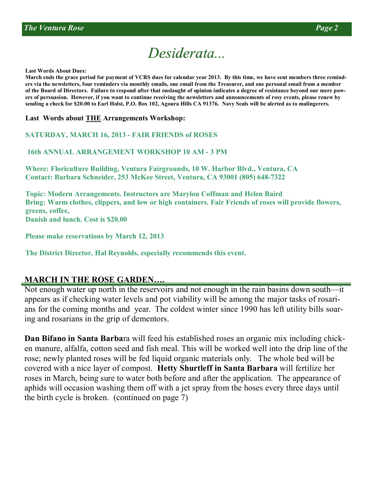# *Desiderata... Desiderata...*

**Last Words About Dues:**

**March ends the grace period for payment of VCRS dues for calendar year 2013. By this time, we have sent members three reminders via the newsletters, four reminders via monthly emails, one email from the Treasurer, and one personal email from a member of the Board of Directors. Failure to respond after that onslaught of opinion indicates a degree of resistance beyond our mere powers of persuasion. However, if you want to continue receiving the newsletters and announcements of rosy events, please renew by sending a check for \$20.00 to Earl Holst, P.O. Box 102, Agoura Hills CA 91376. Navy Seals will be alerted as to malingerers.**

**Last Words about THE Arrangements Workshop:**

**SATURDAY, MARCH 16, 2013 - FAIR FRIENDS of ROSES**

**16th ANNUAL ARRANGEMENT WORKSHOP 10 AM - 3 PM**

**Where: Floriculture Building, Ventura Fairgrounds, 10 W. Harbor Blvd., Ventura, CA Contact: Barbara Schneider, 253 McKee Street, Ventura, CA 93001 (805) 648-7322**

**Topic: Modern Arrangements. Instructors are Marylou Coffman and Helen Baird Bring: Warm clothes, clippers, and low or high containers. Fair Friends of roses will provide flowers, greens, coffee, Danish and lunch. Cost is \$20.00** 

**Please make reservations by March 12, 2013**

**The District Director, Hal Reynolds, especially recommends this event.**

## **MARCH IN THE ROSE GARDEN….**

Not enough water up north in the reservoirs and not enough in the rain basins down south—it appears as if checking water levels and pot viability will be among the major tasks of rosarians for the coming months and year. The coldest winter since 1990 has left utility bills soaring and rosarians in the grip of dementors.

**Dan Bifano in Santa Barba**ra will feed his established roses an organic mix including chicken manure, alfalfa, cotton seed and fish meal. This will be worked well into the drip line of the rose; newly planted roses will be fed liquid organic materials only. The whole bed will be covered with a nice layer of compost. **Hetty Shurtleff in Santa Barbara** will fertilize her roses in March, being sure to water both before and after the application. The appearance of aphids will occasion washing them off with a jet spray from the hoses every three days until the birth cycle is broken. (continued on page 7)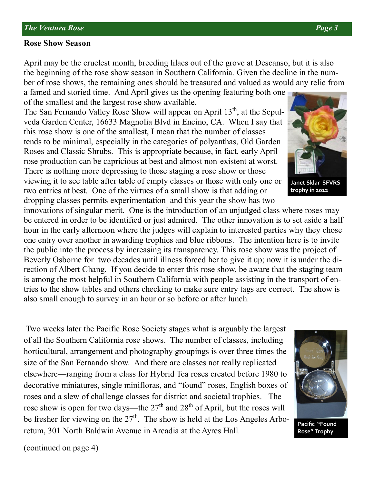## **Rose Show Season**

(continued on page 4)

April may be the cruelest month, breeding lilacs out of the grove at Descanso, but it is also the beginning of the rose show season in Southern California. Given the decline in the number of rose shows, the remaining ones should be treasured and valued as would any relic from

a famed and storied time. And April gives us the opening featuring both one of the smallest and the largest rose show available.

The San Fernando Valley Rose Show will appear on April  $13<sup>th</sup>$ , at the Sepulveda Garden Center, 16633 Magnolia Blvd in Encino, CA. When I say that this rose show is one of the smallest, I mean that the number of classes tends to be minimal, especially in the categories of polyanthas, Old Garden Roses and Classic Shrubs. This is appropriate because, in fact, early April rose production can be capricious at best and almost non-existent at worst. There is nothing more depressing to those staging a rose show or those viewing it to see table after table of empty classes or those with only one or two entries at best. One of the virtues of a small show is that adding or dropping classes permits experimentation and this year the show has two

innovations of singular merit. One is the introduction of an unjudged class where roses may be entered in order to be identified or just admired. The other innovation is to set aside a half hour in the early afternoon where the judges will explain to interested parties why they chose one entry over another in awarding trophies and blue ribbons. The intention here is to invite the public into the process by increasing its transparency. This rose show was the project of Beverly Osborne for two decades until illness forced her to give it up; now it is under the direction of Albert Chang. If you decide to enter this rose show, be aware that the staging team is among the most helpful in Southern California with people assisting in the transport of entries to the show tables and others checking to make sure entry tags are correct. The show is also small enough to survey in an hour or so before or after lunch.

Two weeks later the Pacific Rose Society stages what is arguably the largest of all the Southern California rose shows. The number of classes, including horticultural, arrangement and photography groupings is over three times the size of the San Fernando show. And there are classes not really replicated elsewhere—ranging from a class for Hybrid Tea roses created before 1980 to decorative miniatures, single minifloras, and "found" roses, English boxes of roses and a slew of challenge classes for district and societal trophies. The rose show is open for two days—the  $27<sup>th</sup>$  and  $28<sup>th</sup>$  of April, but the roses will be fresher for viewing on the  $27<sup>th</sup>$ . The show is held at the Los Angeles Arboretum, 301 North Baldwin Avenue in Arcadia at the Ayres Hall.





**Janet Sklar SFVRS trophy in 2012**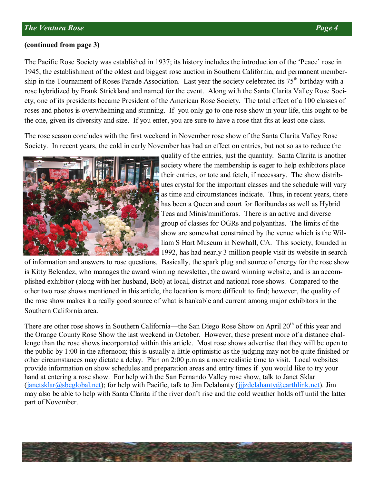## **(continued from page 3)**

The Pacific Rose Society was established in 1937; its history includes the introduction of the 'Peace' rose in 1945, the establishment of the oldest and biggest rose auction in Southern California, and permanent membership in the Tournament of Roses Parade Association. Last year the society celebrated its 75<sup>th</sup> birthday with a rose hybridized by Frank Strickland and named for the event. Along with the Santa Clarita Valley Rose Society, one of its presidents became President of the American Rose Society. The total effect of a 100 classes of roses and photos is overwhelming and stunning. If you only go to one rose show in your life, this ought to be the one, given its diversity and size. If you enter, you are sure to have a rose that fits at least one class.

The rose season concludes with the first weekend in November rose show of the Santa Clarita Valley Rose Society. In recent years, the cold in early November has had an effect on entries, but not so as to reduce the



quality of the entries, just the quantity. Santa Clarita is another society where the membership is eager to help exhibitors place their entries, or tote and fetch, if necessary. The show distributes crystal for the important classes and the schedule will vary as time and circumstances indicate. Thus, in recent years, there has been a Queen and court for floribundas as well as Hybrid Teas and Minis/minifloras. There is an active and diverse group of classes for OGRs and polyanthas. The limits of the show are somewhat constrained by the venue which is the William S Hart Museum in Newhall, CA. This society, founded in 1992, has had nearly 3 million people visit its website in search

of information and answers to rose questions. Basically, the spark plug and source of energy for the rose show is Kitty Belendez, who manages the award winning newsletter, the award winning website, and is an accomplished exhibitor (along with her husband, Bob) at local, district and national rose shows. Compared to the other two rose shows mentioned in this article, the location is more difficult to find; however, the quality of the rose show makes it a really good source of what is bankable and current among major exhibitors in the Southern California area.

There are other rose shows in Southern California—the San Diego Rose Show on April 20<sup>th</sup> of this year and the Orange County Rose Show the last weekend in October. However, these present more of a distance challenge than the rose shows incorporated within this article. Most rose shows advertise that they will be open to the public by 1:00 in the afternoon; this is usually a little optimistic as the judging may not be quite finished or other circumstances may dictate a delay. Plan on 2:00 p.m as a more realistic time to visit. Local websites provide information on show schedules and preparation areas and entry times if you would like to try your hand at entering a rose show. For help with the San Fernando Valley rose show, talk to Janet Sklar (janetsklar@sbcglobal.net); for help with Pacific, talk to Jim Delahanty (jjjzdelahanty@earthlink.net). Jim may also be able to help with Santa Clarita if the river don't rise and the cold weather holds off until the latter part of November.

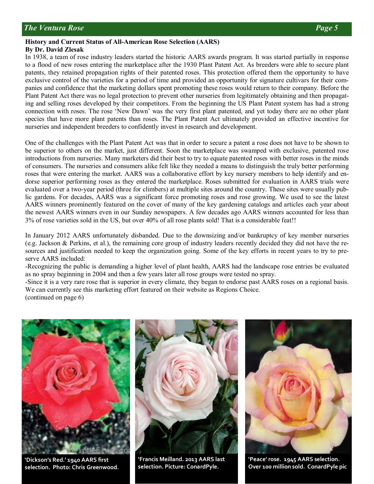## **History and Current Status of All-American Rose Selection (AARS) By Dr. David Zlesak**

In 1938, a team of rose industry leaders started the historic AARS awards program. It was started partially in response to a flood of new roses entering the marketplace after the 1930 Plant Patent Act. As breeders were able to secure plant patents, they retained propagation rights of their patented roses. This protection offered them the opportunity to have exclusive control of the varieties for a period of time and provided an opportunity for signature cultivars for their companies and confidence that the marketing dollars spent promoting these roses would return to their company. Before the Plant Patent Act there was no legal protection to prevent other nurseries from legitimately obtaining and then propagating and selling roses developed by their competitors. From the beginning the US Plant Patent system has had a strong connection with roses. The rose 'New Dawn' was the very first plant patented, and yet today there are no other plant species that have more plant patents than roses. The Plant Patent Act ultimately provided an effective incentive for nurseries and independent breeders to confidently invest in research and development.

One of the challenges with the Plant Patent Act was that in order to secure a patent a rose does not have to be shown to be superior to others on the market, just different. Soon the marketplace was swamped with exclusive, patented rose introductions from nurseries. Many marketers did their best to try to equate patented roses with better roses in the minds of consumers. The nurseries and consumers alike felt like they needed a means to distinguish the truly better performing roses that were entering the market. AARS was a collaborative effort by key nursery members to help identify and endorse superior performing roses as they entered the marketplace. Roses submitted for evaluation in AARS trials were evaluated over a two-year period (three for climbers) at multiple sites around the country. These sites were usually public gardens. For decades, AARS was a significant force promoting roses and rose growing. We used to see the latest AARS winners prominently featured on the cover of many of the key gardening catalogs and articles each year about the newest AARS winners even in our Sunday newspapers. A few decades ago AARS winners accounted for less than 3% of rose varieties sold in the US, but over 40% of all rose plants sold! That is a considerable feat!!

In January 2012 AARS unfortunately disbanded. Due to the downsizing and/or bankruptcy of key member nurseries (e.g. Jackson & Perkins, et al.), the remaining core group of industry leaders recently decided they did not have the resources and justification needed to keep the organization going. Some of the key efforts in recent years to try to preserve AARS included:

-Recognizing the public is demanding a higher level of plant health, AARS had the landscape rose entries be evaluated as no spray beginning in 2004 and then a few years later all rose groups were tested no spray.

-Since it is a very rare rose that is superior in every climate, they began to endorse past AARS roses on a regional basis. We can currently see this marketing effort featured on their website as Regions Choice. (continued on page 6)



**'Dickson's Red.' 1940 AARS first selection. Photo: Chris Greenwood.**



**'Francis Meilland. 2013 AARS last selection. Picture: ConardPyle.**



**'Peace' rose. 1945 AARS selection. Over 100 million sold. ConardPyle pic**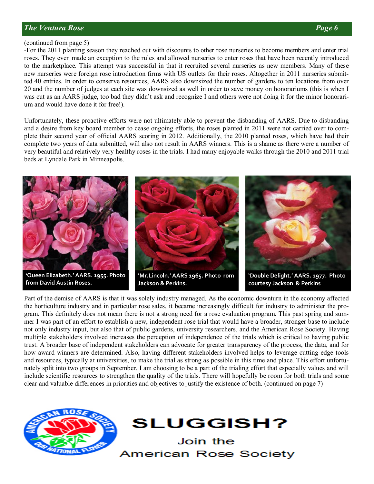## *The Ventura Rose Page 6*

## (continued from page 5)

-For the 2011 planting season they reached out with discounts to other rose nurseries to become members and enter trial roses. They even made an exception to the rules and allowed nurseries to enter roses that have been recently introduced to the marketplace. This attempt was successful in that it recruited several nurseries as new members. Many of these new nurseries were foreign rose introduction firms with US outlets for their roses. Altogether in 2011 nurseries submitted 40 entries. In order to conserve resources, AARS also downsized the number of gardens to ten locations from over 20 and the number of judges at each site was downsized as well in order to save money on honorariums (this is when I was cut as an AARS judge, too bad they didn't ask and recognize I and others were not doing it for the minor honorarium and would have done it for free!).

Unfortunately, these proactive efforts were not ultimately able to prevent the disbanding of AARS. Due to disbanding and a desire from key board member to cease ongoing efforts, the roses planted in 2011 were not carried over to complete their second year of official AARS scoring in 2012. Additionally, the 2010 planted roses, which have had their complete two years of data submitted, will also not result in AARS winners. This is a shame as there were a number of very beautiful and relatively very healthy roses in the trials. I had many enjoyable walks through the 2010 and 2011 trial beds at Lyndale Park in Minneapolis.



Part of the demise of AARS is that it was solely industry managed. As the economic downturn in the economy affected the horticulture industry and in particular rose sales, it became increasingly difficult for industry to administer the program. This definitely does not mean there is not a strong need for a rose evaluation program. This past spring and summer I was part of an effort to establish a new, independent rose trial that would have a broader, stronger base to include not only industry input, but also that of public gardens, university researchers, and the American Rose Society. Having multiple stakeholders involved increases the perception of independence of the trials which is critical to having public trust. A broader base of independent stakeholders can advocate for greater transparency of the process, the data, and for how award winners are determined. Also, having different stakeholders involved helps to leverage cutting edge tools and resources, typically at universities, to make the trial as strong as possible in this time and place. This effort unfortunately split into two groups in September. I am choosing to be a part of the trialing effort that especially values and will include scientific resources to strengthen the quality of the trials. There will hopefully be room for both trials and some clear and valuable differences in priorities and objectives to justify the existence of both. (continued on page 7)



**SLUGGISH?** 

Join the **American Rose Society**